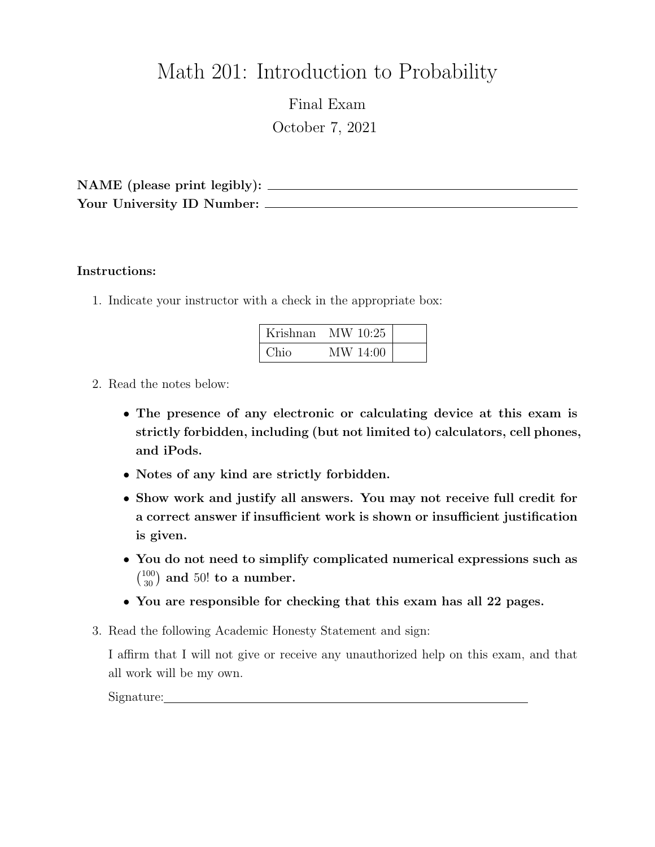# Math 201: Introduction to Probability

Final Exam October 7, 2021

NAME (please print legibly): Your University ID Number:

### Instructions:

1. Indicate your instructor with a check in the appropriate box:

| Krishnan | MW 10:25 |  |
|----------|----------|--|
| Chio     | MW 14:00 |  |

- 2. Read the notes below:
	- The presence of any electronic or calculating device at this exam is strictly forbidden, including (but not limited to) calculators, cell phones, and iPods.
	- Notes of any kind are strictly forbidden.
	- Show work and justify all answers. You may not receive full credit for a correct answer if insufficient work is shown or insufficient justification is given.
	- You do not need to simplify complicated numerical expressions such as  $\binom{100}{30}$  and 50! to a number.
	- You are responsible for checking that this exam has all 22 pages.
- 3. Read the following Academic Honesty Statement and sign:

I affirm that I will not give or receive any unauthorized help on this exam, and that all work will be my own.

Signature: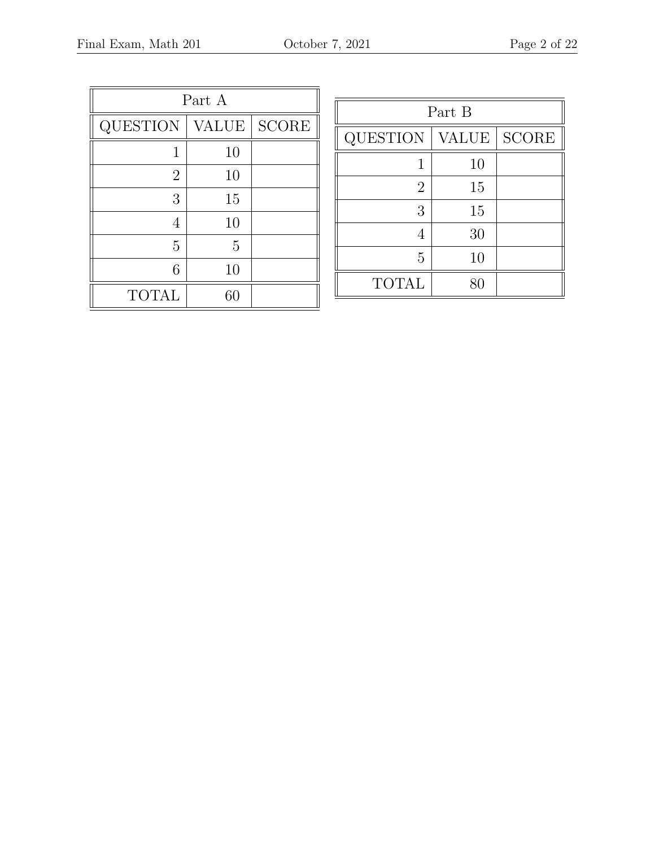| Part A          |              |              |  |  |
|-----------------|--------------|--------------|--|--|
| <b>QUESTION</b> | <b>VALUE</b> | <b>SCORE</b> |  |  |
|                 | 10           |              |  |  |
| $\overline{2}$  | 10           |              |  |  |
| 3               | 15           |              |  |  |
| 4               | 10           |              |  |  |
| 5               | 5            |              |  |  |
| 6               | 10           |              |  |  |
| <b>TOTAL</b>    | 60           |              |  |  |

| Part B          |              |              |  |  |
|-----------------|--------------|--------------|--|--|
| <b>QUESTION</b> | <b>VALUE</b> | <b>SCORE</b> |  |  |
| 1               | 10           |              |  |  |
| $\overline{2}$  | 15           |              |  |  |
| 3               | 15           |              |  |  |
| 4               | 30           |              |  |  |
| 5               | 10           |              |  |  |
| <b>TOTAL</b>    | Rſ           |              |  |  |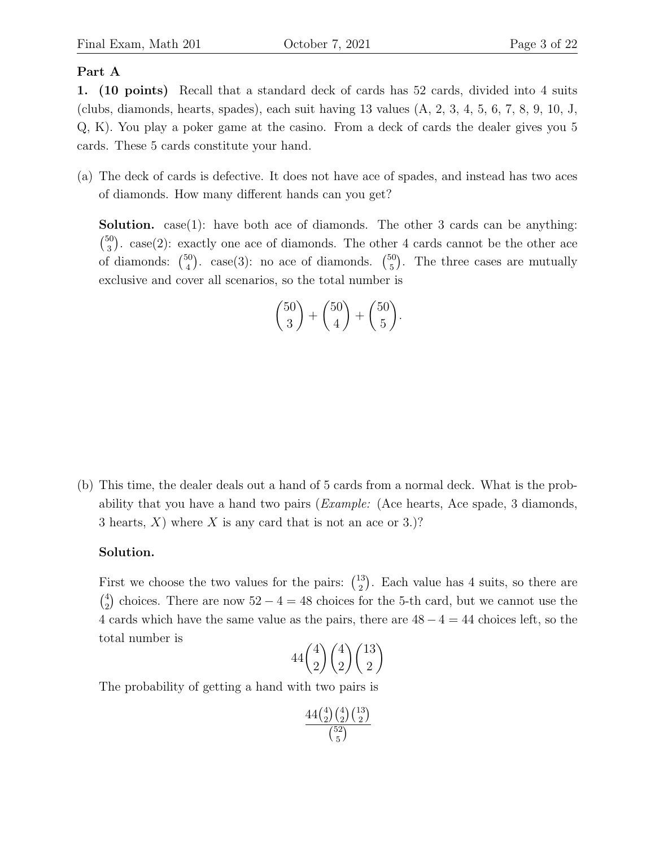#### Part A

1. (10 points) Recall that a standard deck of cards has 52 cards, divided into 4 suits (clubs, diamonds, hearts, spades), each suit having 13 values (A, 2, 3, 4, 5, 6, 7, 8, 9, 10, J, Q, K). You play a poker game at the casino. From a deck of cards the dealer gives you 5 cards. These 5 cards constitute your hand.

(a) The deck of cards is defective. It does not have ace of spades, and instead has two aces of diamonds. How many different hands can you get?

**Solution.** case(1): have both ace of diamonds. The other 3 cards can be anything:  $\binom{50}{2}$  $^{50}_{3}$ ). case(2): exactly one ace of diamonds. The other 4 cards cannot be the other ace of diamonds:  $\binom{50}{4}$  $_{4}^{50}$ ). case(3): no ace of diamonds. ( $_{5}^{50}$  $_{5}^{50}$ ). The three cases are mutually exclusive and cover all scenarios, so the total number is

$$
\binom{50}{3} + \binom{50}{4} + \binom{50}{5}.
$$

(b) This time, the dealer deals out a hand of 5 cards from a normal deck. What is the probability that you have a hand two pairs (Example: (Ace hearts, Ace spade, 3 diamonds, 3 hearts, X) where X is any card that is not an ace or 3.)?

#### Solution.

First we choose the two values for the pairs:  $\binom{13}{2}$  $\binom{13}{2}$ . Each value has 4 suits, so there are  $\binom{4}{2}$  $^{4}_{2}$ ) choices. There are now  $52 - 4 = 48$  choices for the 5-th card, but we cannot use the 4 cards which have the same value as the pairs, there are  $48 - 4 = 44$  choices left, so the total number is

$$
44\binom{4}{2}\binom{4}{2}\binom{13}{2}
$$

The probability of getting a hand with two pairs is

$$
\frac{44\binom{4}{2}\binom{4}{2}\binom{13}{2}}{\binom{52}{5}}
$$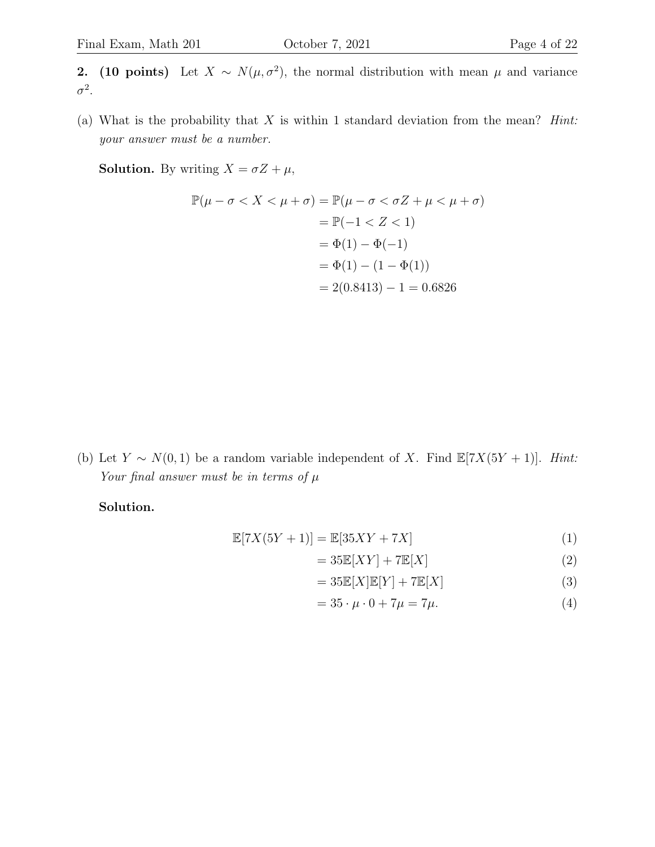2. (10 points) Let  $X \sim N(\mu, \sigma^2)$ , the normal distribution with mean  $\mu$  and variance  $\sigma^2$ .

(a) What is the probability that  $X$  is within 1 standard deviation from the mean? *Hint*: your answer must be a number.

**Solution.** By writing  $X = \sigma Z + \mu$ ,

$$
\mathbb{P}(\mu - \sigma < X < \mu + \sigma) = \mathbb{P}(\mu - \sigma < \sigma Z + \mu < \mu + \sigma)
$$
\n
$$
= \mathbb{P}(-1 < Z < 1)
$$
\n
$$
= \Phi(1) - \Phi(-1)
$$
\n
$$
= \Phi(1) - (1 - \Phi(1))
$$
\n
$$
= 2(0.8413) - 1 = 0.6826
$$

(b) Let  $Y \sim N(0, 1)$  be a random variable independent of X. Find  $\mathbb{E}[7X(5Y + 1)]$ . Hint: Your final answer must be in terms of  $\mu$ 

Solution.

$$
\mathbb{E}[7X(5Y+1)] = \mathbb{E}[35XY+7X]
$$
\n(1)

$$
=35\mathbb{E}[XY] + 7\mathbb{E}[X]
$$
 (2)

$$
=35\mathbb{E}[X]\mathbb{E}[Y] + 7\mathbb{E}[X]
$$
\n(3)

$$
=35 \cdot \mu \cdot 0 + 7\mu = 7\mu. \tag{4}
$$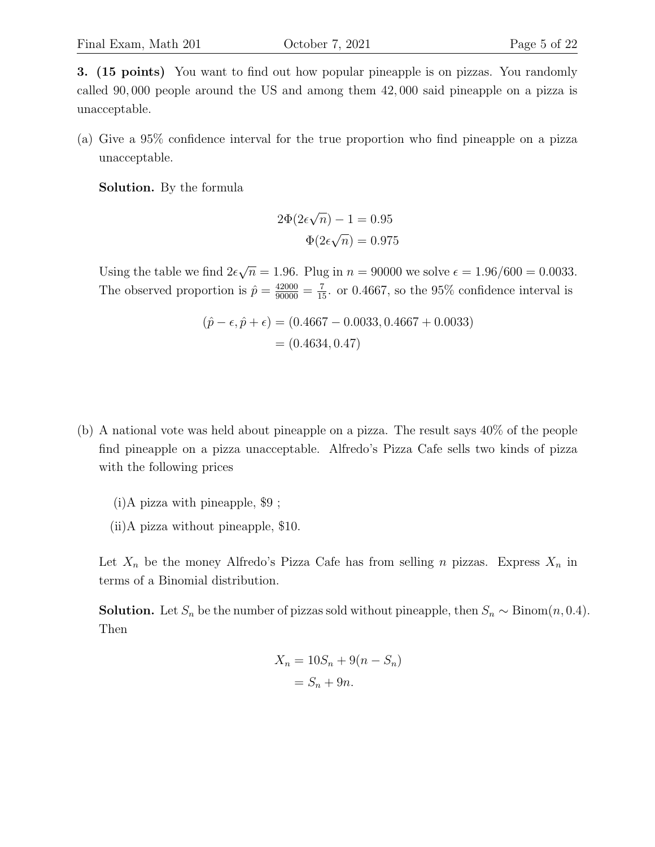3. (15 points) You want to find out how popular pineapple is on pizzas. You randomly called 90, 000 people around the US and among them 42, 000 said pineapple on a pizza is unacceptable.

(a) Give a 95% confidence interval for the true proportion who find pineapple on a pizza unacceptable.

Solution. By the formula

$$
2\Phi(2\epsilon\sqrt{n}) - 1 = 0.95
$$

$$
\Phi(2\epsilon\sqrt{n}) = 0.975
$$

Using the table we find  $2\epsilon$ √  $\overline{n} = 1.96$ . Plug in  $n = 90000$  we solve  $\epsilon = 1.96/600 = 0.0033$ . The observed proportion is  $\hat{p} = \frac{42000}{90000} = \frac{7}{15}$  or 0.4667, so the 95% confidence interval is

$$
(\hat{p} - \epsilon, \hat{p} + \epsilon) = (0.4667 - 0.0033, 0.4667 + 0.0033)
$$

$$
= (0.4634, 0.47)
$$

- (b) A national vote was held about pineapple on a pizza. The result says 40% of the people find pineapple on a pizza unacceptable. Alfredo's Pizza Cafe sells two kinds of pizza with the following prices
	- (i)A pizza with pineapple, \$9 ;
	- (ii)A pizza without pineapple, \$10.

Let  $X_n$  be the money Alfredo's Pizza Cafe has from selling n pizzas. Express  $X_n$  in terms of a Binomial distribution.

**Solution.** Let  $S_n$  be the number of pizzas sold without pineapple, then  $S_n \sim \text{Binom}(n, 0.4)$ . Then

$$
X_n = 10S_n + 9(n - S_n)
$$

$$
= S_n + 9n.
$$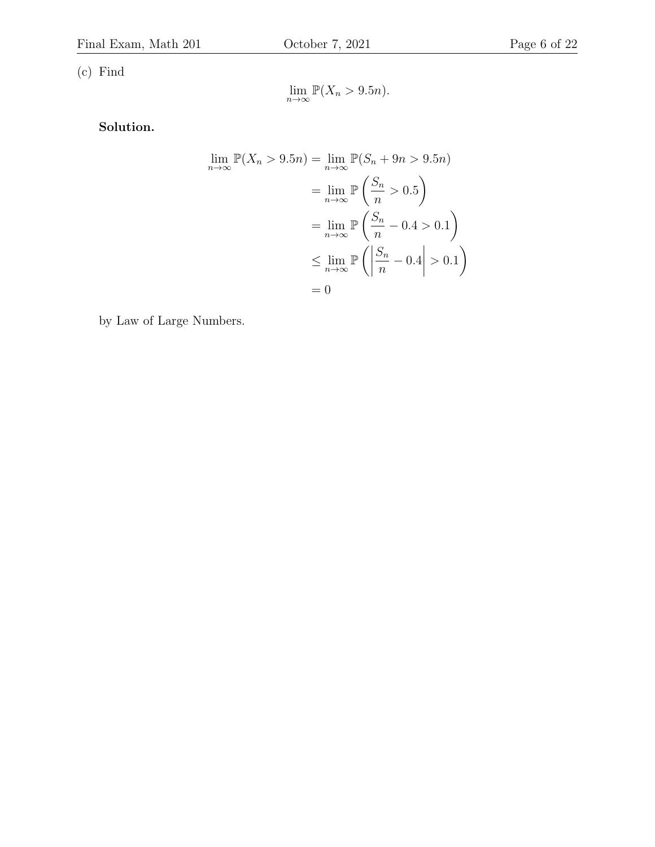(c) Find

$$
\lim_{n \to \infty} \mathbb{P}(X_n > 9.5n).
$$

Solution.

$$
\lim_{n \to \infty} \mathbb{P}(X_n > 9.5n) = \lim_{n \to \infty} \mathbb{P}(S_n + 9n > 9.5n)
$$

$$
= \lim_{n \to \infty} \mathbb{P}\left(\frac{S_n}{n} > 0.5\right)
$$

$$
= \lim_{n \to \infty} \mathbb{P}\left(\frac{S_n}{n} - 0.4 > 0.1\right)
$$

$$
\leq \lim_{n \to \infty} \mathbb{P}\left(\left|\frac{S_n}{n} - 0.4\right| > 0.1\right)
$$

$$
= 0
$$

by Law of Large Numbers.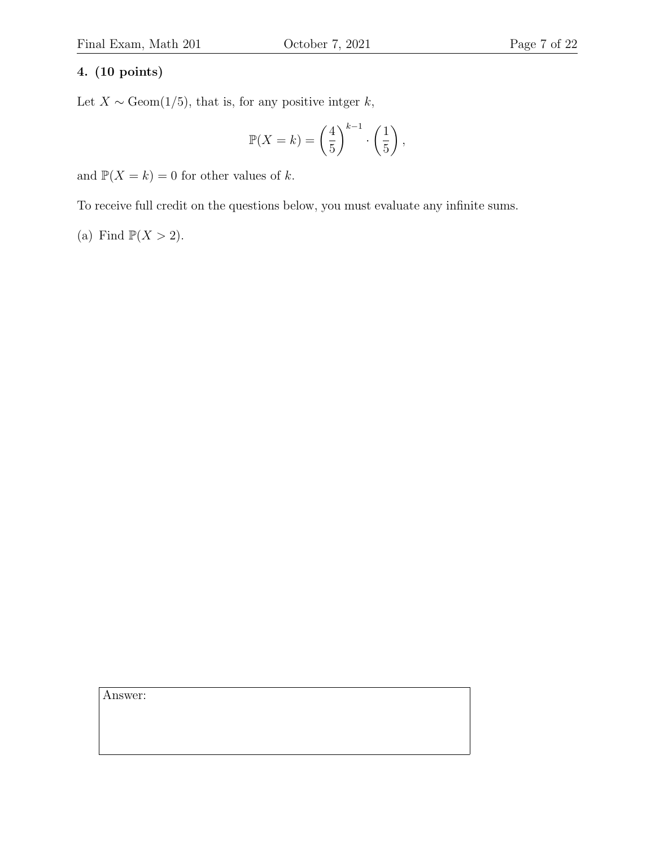## 4. (10 points)

Let  $X \sim \text{Geom}(1/5)$ , that is, for any positive intger k,

$$
\mathbb{P}(X=k) = \left(\frac{4}{5}\right)^{k-1} \cdot \left(\frac{1}{5}\right),
$$

and  $\mathbb{P}(X = k) = 0$  for other values of k.

To receive full credit on the questions below, you must evaluate any infinite sums.

(a) Find  $\mathbb{P}(X > 2)$ .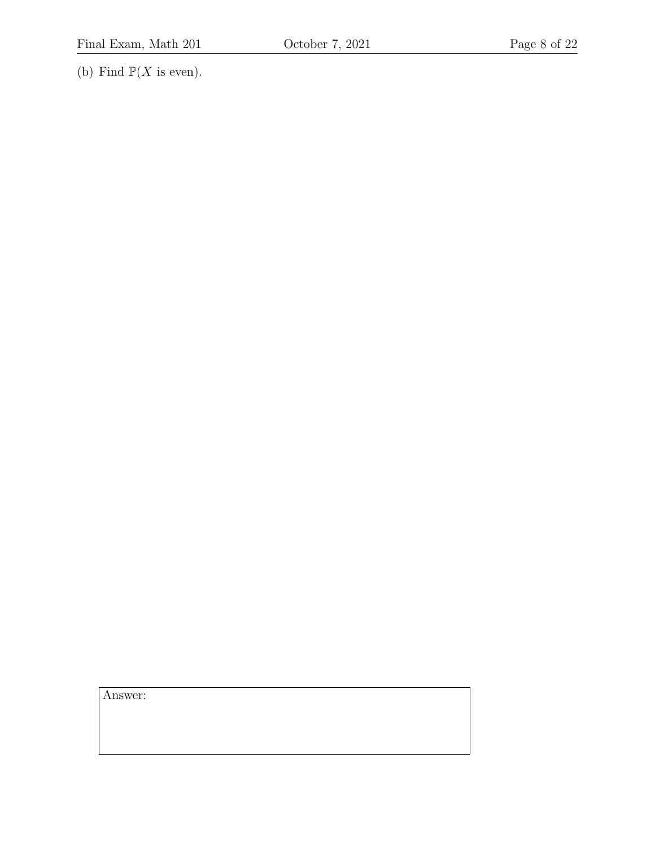(b) Find  $\mathbb{P}(X \text{ is even}).$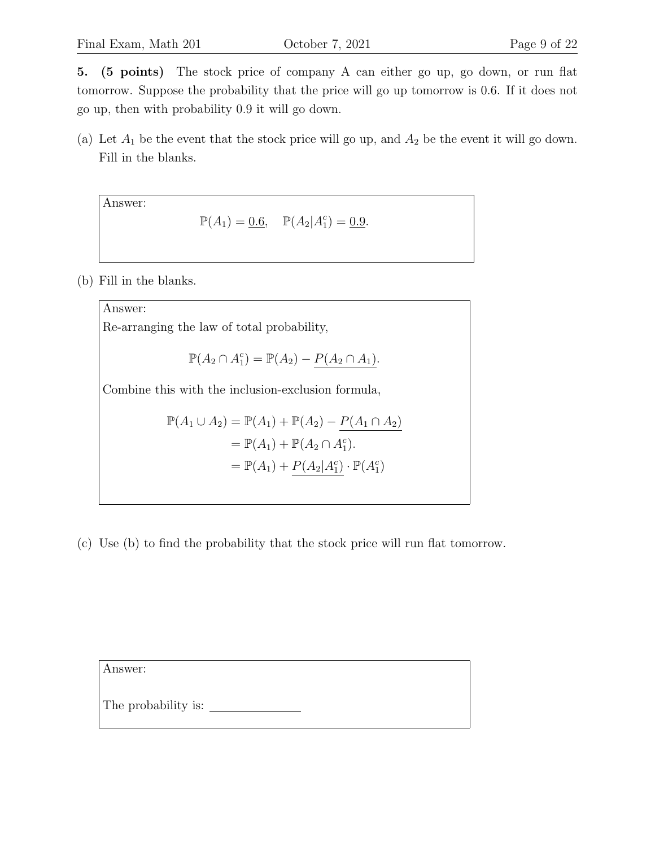5. (5 points) The stock price of company A can either go up, go down, or run flat tomorrow. Suppose the probability that the price will go up tomorrow is 0.6. If it does not go up, then with probability 0.9 it will go down.

(a) Let  $A_1$  be the event that the stock price will go up, and  $A_2$  be the event it will go down. Fill in the blanks.

Answer:

$$
\mathbb{P}(A_1) = \underline{0.6}, \quad \mathbb{P}(A_2|A_1^c) = \underline{0.9}.
$$

(b) Fill in the blanks.

Answer: Re-arranging the law of total probability,  $\mathbb{P}(A_2 \cap A_1^c) = \mathbb{P}(A_2) - P(A_2 \cap A_1).$ Combine this with the inclusion-exclusion formula,  $\mathbb{P}(A_1 \cup A_2) = \mathbb{P}(A_1) + \mathbb{P}(A_2) - \frac{P(A_1 \cap A_2)}{P(A_2)}$  $= \mathbb{P}(A_1) + \mathbb{P}(A_2 \cap A_1^c).$  $= \mathbb{P}(A_1) + P(A_2|A_1^c) \cdot \mathbb{P}(A_1^c)$ 

(c) Use (b) to find the probability that the stock price will run flat tomorrow.

Answer:

The probability is: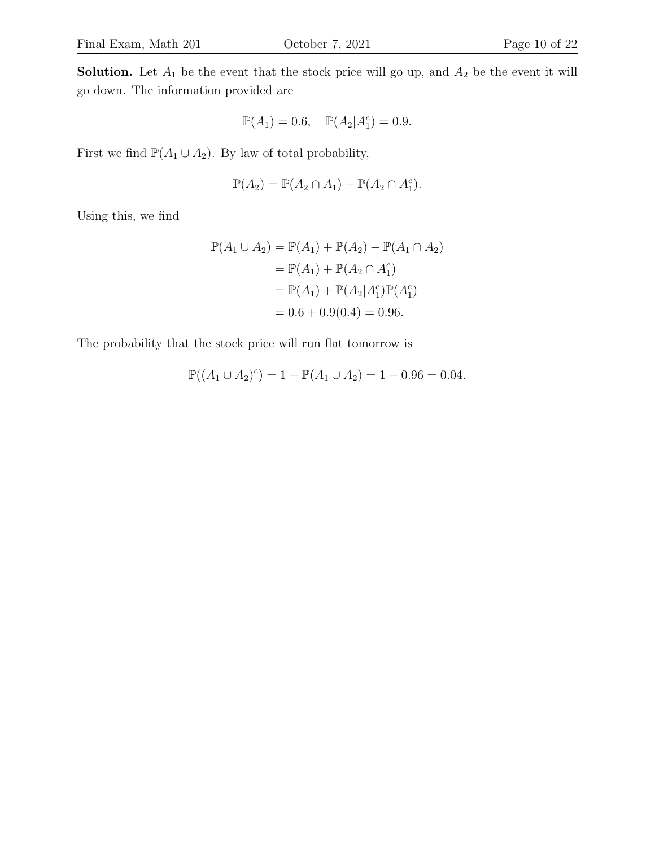**Solution.** Let  $A_1$  be the event that the stock price will go up, and  $A_2$  be the event it will go down. The information provided are

$$
\mathbb{P}(A_1) = 0.6, \quad \mathbb{P}(A_2|A_1^c) = 0.9.
$$

First we find  $\mathbb{P}(A_1 \cup A_2)$ . By law of total probability,

$$
\mathbb{P}(A_2) = \mathbb{P}(A_2 \cap A_1) + \mathbb{P}(A_2 \cap A_1^c).
$$

Using this, we find

$$
\mathbb{P}(A_1 \cup A_2) = \mathbb{P}(A_1) + \mathbb{P}(A_2) - \mathbb{P}(A_1 \cap A_2)
$$
  
=  $\mathbb{P}(A_1) + \mathbb{P}(A_2 \cap A_1^c)$   
=  $\mathbb{P}(A_1) + \mathbb{P}(A_2 | A_1^c) \mathbb{P}(A_1^c)$   
= 0.6 + 0.9(0.4) = 0.96.

The probability that the stock price will run flat tomorrow is

$$
\mathbb{P}((A_1 \cup A_2)^c) = 1 - \mathbb{P}(A_1 \cup A_2) = 1 - 0.96 = 0.04.
$$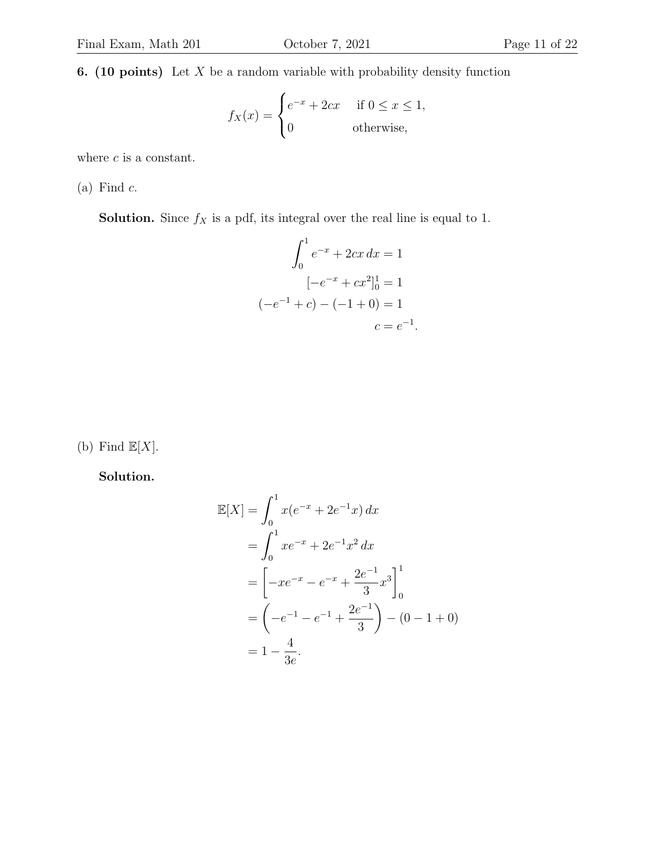**6.** (10 points) Let  $X$  be a random variable with probability density function

$$
f_X(x) = \begin{cases} e^{-x} + 2cx & \text{if } 0 \le x \le 1, \\ 0 & \text{otherwise,} \end{cases}
$$

where  $c$  is a constant.

 $(a)$  Find  $c$ .

**Solution.** Since  $f_X$  is a pdf, its integral over the real line is equal to 1.

$$
\int_0^1 e^{-x} + 2cx \, dx = 1
$$

$$
[-e^{-x} + cx^2]_0^1 = 1
$$

$$
(-e^{-1} + c) - (-1 + 0) = 1
$$

$$
c = e^{-1}
$$

.

(b) Find  $\mathbb{E}[X]$ .

Solution.

$$
\mathbb{E}[X] = \int_0^1 x(e^{-x} + 2e^{-1}x) dx
$$
  
=  $\int_0^1 xe^{-x} + 2e^{-1}x^2 dx$   
=  $\left[ -xe^{-x} - e^{-x} + \frac{2e^{-1}}{3}x^3 \right]_0^1$   
=  $\left( -e^{-1} - e^{-1} + \frac{2e^{-1}}{3} \right) - (0 - 1 + 0)$   
=  $1 - \frac{4}{3e}.$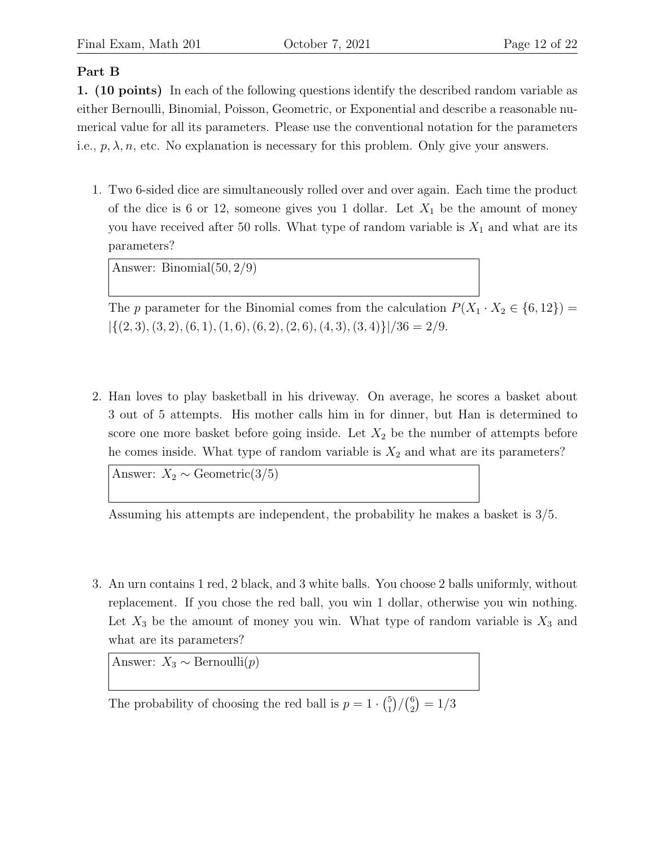## Part B

1. (10 points) In each of the following questions identify the described random variable as either Bernoulli, Binomial, Poisson, Geometric, or Exponential and describe a reasonable numerical value for all its parameters. Please use the conventional notation for the parameters i.e.,  $p, \lambda, n$ , etc. No explanation is necessary for this problem. Only give your answers.

1. Two 6-sided dice are simultaneously rolled over and over again. Each time the product of the dice is 6 or 12, someone gives you 1 dollar. Let  $X_1$  be the amount of money you have received after 50 rolls. What type of random variable is  $X_1$  and what are its parameters?

Answer: Binomial(50, 2/9)

The p parameter for the Binomial comes from the calculation  $P(X_1 \cdot X_2 \in \{6, 12\}) =$  $|\{(2, 3), (3, 2), (6, 1), (1, 6), (6, 2), (2, 6), (4, 3), (3, 4)\}|/36 = 2/9.$ 

2. Han loves to play basketball in his driveway. On average, he scores a basket about 3 out of 5 attempts. His mother calls him in for dinner, but Han is determined to score one more basket before going inside. Let  $X_2$  be the number of attempts before he comes inside. What type of random variable is  $X_2$  and what are its parameters?

Answer:  $X_2 \sim \text{Geometric}(3/5)$ 

Assuming his attempts are independent, the probability he makes a basket is 3/5.

3. An urn contains 1 red, 2 black, and 3 white balls. You choose 2 balls uniformly, without replacement. If you chose the red ball, you win 1 dollar, otherwise you win nothing. Let  $X_3$  be the amount of money you win. What type of random variable is  $X_3$  and what are its parameters?

Answer:  $X_3 \sim \text{Bernoulli}(p)$ 

The probability of choosing the red ball is  $p = 1 \cdot {5 \choose 1}$  $^{5}_{1})/(^{6}_{2}$  $_2^6$  $) = 1/3$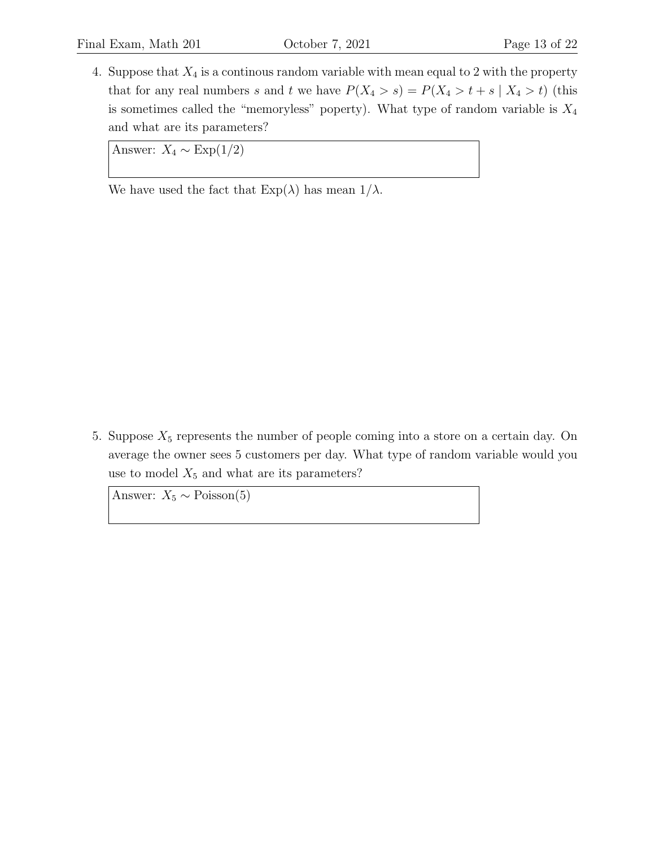4. Suppose that  $X_4$  is a continous random variable with mean equal to 2 with the property that for any real numbers s and t we have  $P(X_4 > s) = P(X_4 > t + s | X_4 > t)$  (this is sometimes called the "memoryless" poperty). What type of random variable is  $X_4$ and what are its parameters?

Answer:  $X_4 \sim \text{Exp}(1/2)$ 

We have used the fact that  $Exp(\lambda)$  has mean  $1/\lambda$ .

5. Suppose  $X_5$  represents the number of people coming into a store on a certain day. On average the owner sees 5 customers per day. What type of random variable would you use to model  $X_5$  and what are its parameters?

Answer:  $X_5 \sim \text{Poisson}(5)$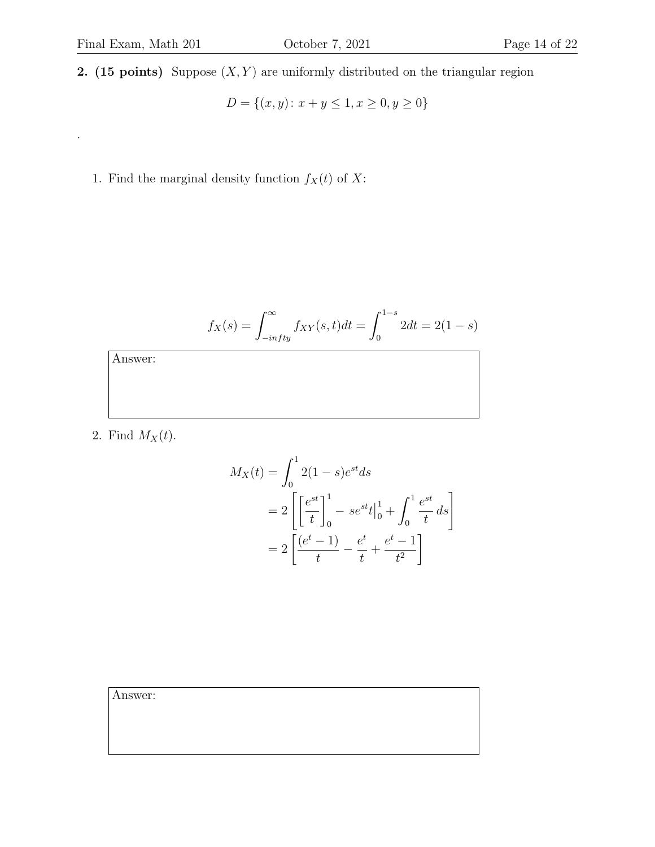.

$$
D = \{(x, y) \colon x + y \le 1, x \ge 0, y \ge 0\}
$$

1. Find the marginal density function  $f_X(t)$  of X:

$$
f_X(s) = \int_{-infty}^{\infty} f_{XY}(s, t)dt = \int_0^{1-s} 2dt = 2(1-s)
$$

Answer:

2. Find  $M_X(t)$ .

$$
M_X(t) = \int_0^1 2(1-s)e^{st}ds
$$
  
=  $2\left[\left[\frac{e^{st}}{t}\right]_0^1 - se^{st}t\Big|_0^1 + \int_0^1 \frac{e^{st}}{t} ds\right]$   
=  $2\left[\frac{(e^t - 1)}{t} - \frac{e^t}{t} + \frac{e^t - 1}{t^2}\right]$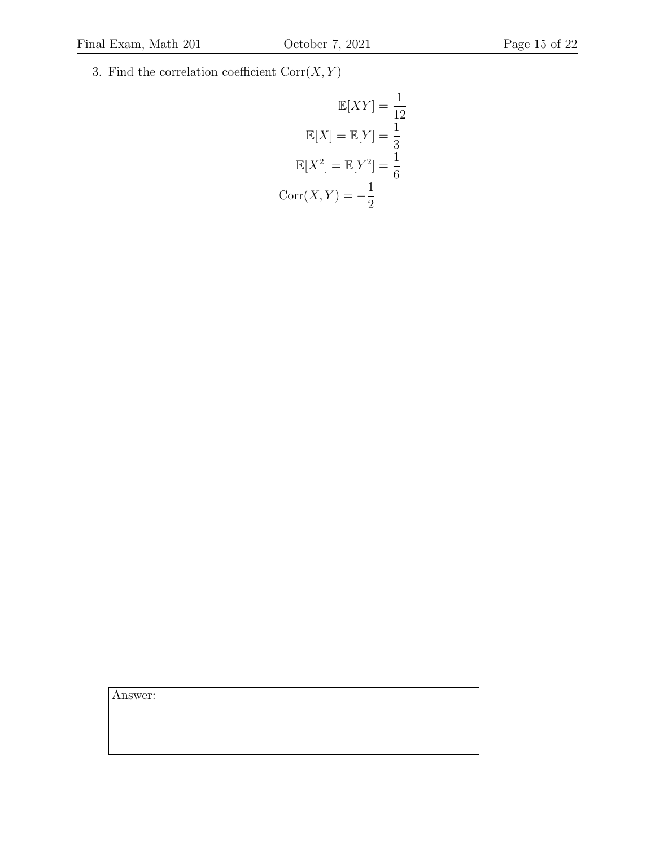3. Find the correlation coefficient  $\mathrm{Corr}(X,Y)$ 

$$
\mathbb{E}[XY] = \frac{1}{12}
$$

$$
\mathbb{E}[X] = \mathbb{E}[Y] = \frac{1}{3}
$$

$$
\mathbb{E}[X^2] = \mathbb{E}[Y^2] = \frac{1}{6}
$$

$$
Corr(X, Y) = -\frac{1}{2}
$$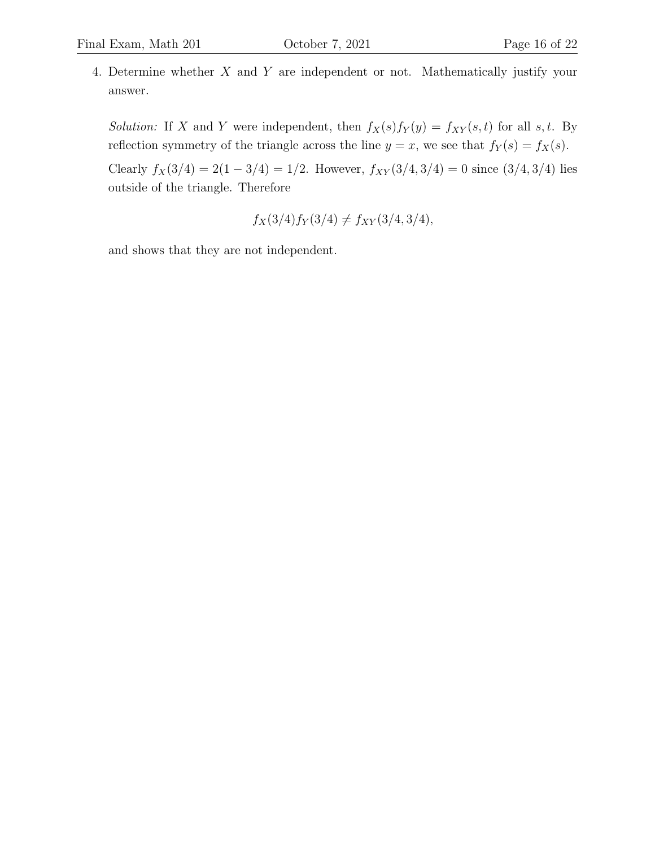4. Determine whether X and Y are independent or not. Mathematically justify your answer.

Solution: If X and Y were independent, then  $f_X(s)f_Y(y) = f_{XY}(s,t)$  for all s, t. By reflection symmetry of the triangle across the line  $y = x$ , we see that  $f_Y(s) = f_X(s)$ .

Clearly  $f_X(3/4) = 2(1 - 3/4) = 1/2$ . However,  $f_{XY}(3/4, 3/4) = 0$  since  $(3/4, 3/4)$  lies outside of the triangle. Therefore

$$
f_X(3/4) f_Y(3/4) \neq f_{XY}(3/4, 3/4),
$$

and shows that they are not independent.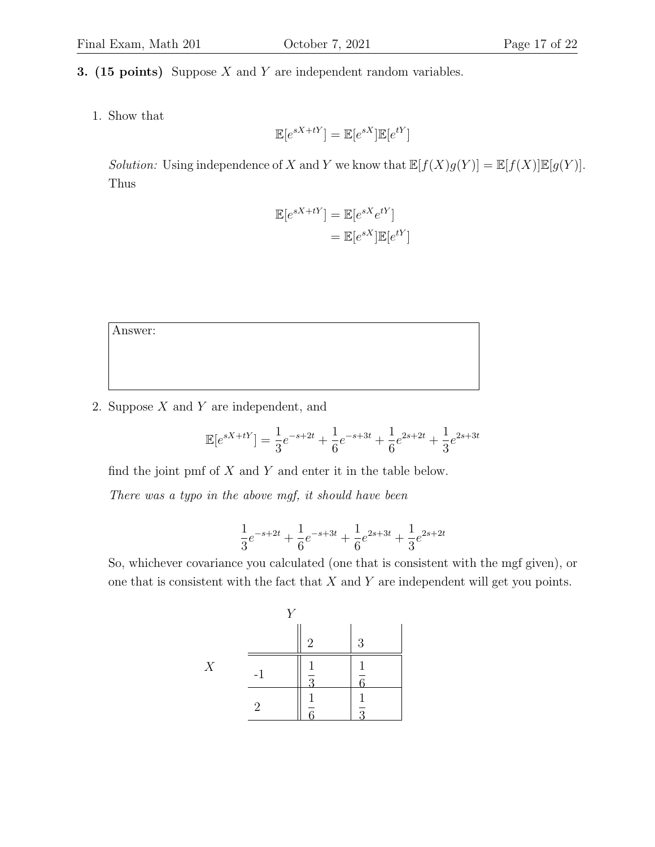#### **3.** (15 points) Suppose  $X$  and  $Y$  are independent random variables.

1. Show that

$$
\mathbb{E}[e^{sX+tY}] = \mathbb{E}[e^{sX}]\mathbb{E}[e^{tY}]
$$

Solution: Using independence of X and Y we know that  $\mathbb{E}[f(X)g(Y)] = \mathbb{E}[f(X)\mathbb{E}[g(Y)].$ Thus

$$
\mathbb{E}[e^{sX+tY}] = \mathbb{E}[e^{sX}e^{tY}]
$$

$$
= \mathbb{E}[e^{sX}]\mathbb{E}[e^{tY}]
$$

Answer:

2. Suppose  $X$  and  $Y$  are independent, and

$$
\mathbb{E}[e^{sX+tY}] = \frac{1}{3}e^{-s+2t} + \frac{1}{6}e^{-s+3t} + \frac{1}{6}e^{2s+2t} + \frac{1}{3}e^{2s+3t}
$$

find the joint pmf of  $X$  and  $Y$  and enter it in the table below.

There was a typo in the above mgf, it should have been

$$
\frac{1}{3}e^{-s+2t} + \frac{1}{6}e^{-s+3t} + \frac{1}{6}e^{2s+3t} + \frac{1}{3}e^{2s+2t}
$$

So, whichever covariance you calculated (one that is consistent with the mgf given), or one that is consistent with the fact that  $X$  and  $Y$  are independent will get you points.

|   | T 7  |                           |          |
|---|------|---------------------------|----------|
|   |      | $\overline{2}$            | 3        |
| X | $-1$ | Ē<br>$\overline{Q}$<br>εJ | 1        |
|   | 2    |                           | $\Omega$ |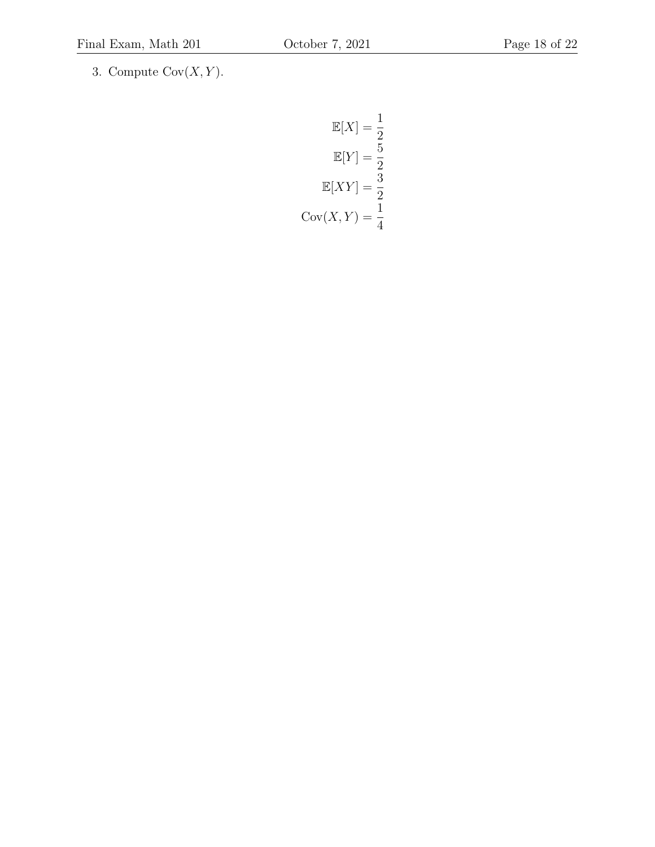3. Compute  $\mathrm{Cov}(X,Y).$ 

$$
\mathbb{E}[X] = \frac{1}{2}
$$

$$
\mathbb{E}[Y] = \frac{5}{2}
$$

$$
\mathbb{E}[XY] = \frac{3}{2}
$$

$$
\text{Cov}(X, Y) = \frac{1}{4}
$$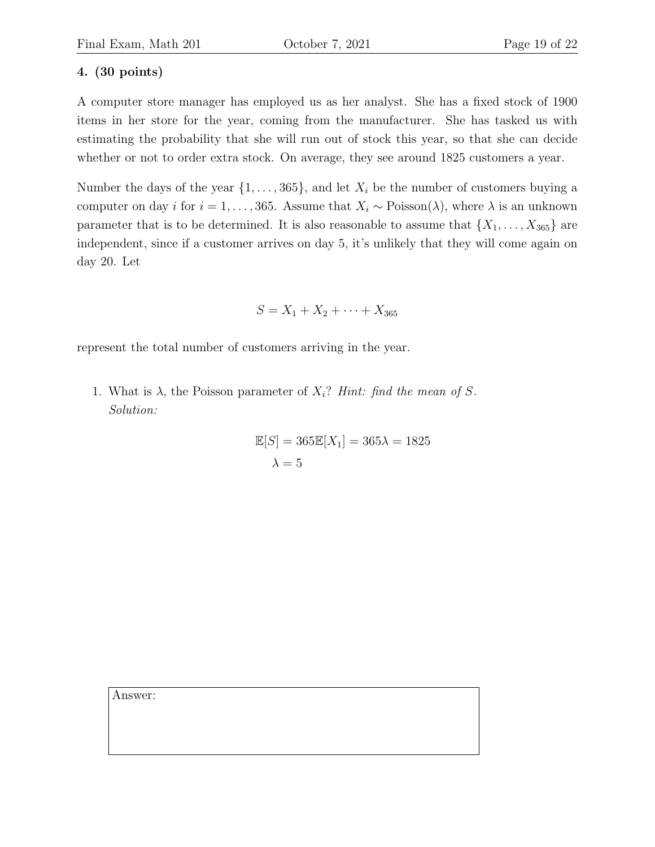# 4. (30 points)

A computer store manager has employed us as her analyst. She has a fixed stock of 1900 items in her store for the year, coming from the manufacturer. She has tasked us with estimating the probability that she will run out of stock this year, so that she can decide whether or not to order extra stock. On average, they see around 1825 customers a year.

Number the days of the year  $\{1, \ldots, 365\}$ , and let  $X_i$  be the number of customers buying a computer on day i for  $i = 1, ..., 365$ . Assume that  $X_i \sim \text{Poisson}(\lambda)$ , where  $\lambda$  is an unknown parameter that is to be determined. It is also reasonable to assume that  $\{X_1, \ldots, X_{365}\}\)$  are independent, since if a customer arrives on day 5, it's unlikely that they will come again on day 20. Let

$$
S = X_1 + X_2 + \dots + X_{365}
$$

represent the total number of customers arriving in the year.

1. What is  $\lambda$ , the Poisson parameter of  $X_i$ ? Hint: find the mean of S. Solution:

$$
\mathbb{E}[S] = 365\mathbb{E}[X_1] = 365\lambda = 1825
$$

$$
\lambda = 5
$$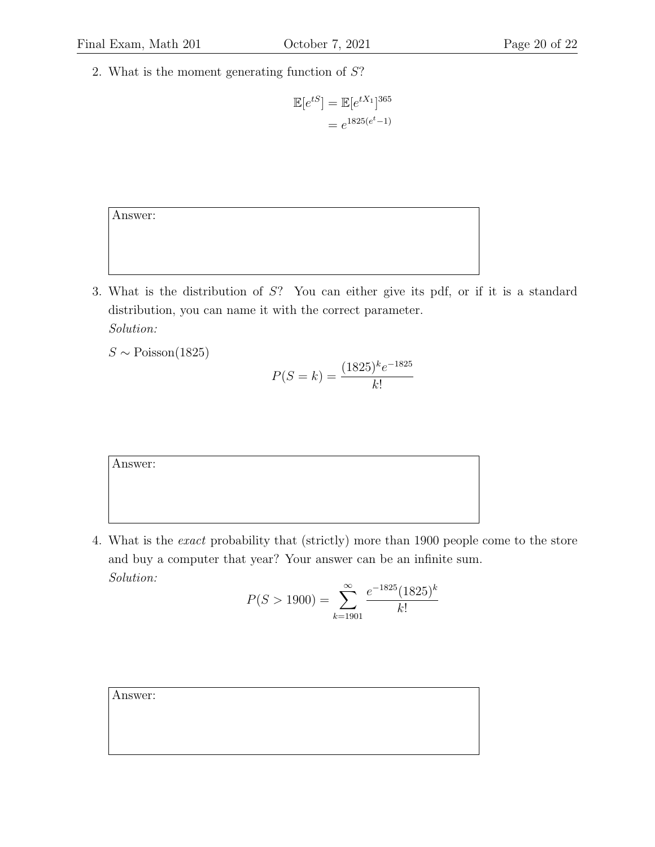2. What is the moment generating function of S?

$$
\mathbb{E}[e^{tS}] = \mathbb{E}[e^{tX_1}]^{365}
$$

$$
= e^{1825(e^t - 1)}
$$

Answer:

3. What is the distribution of S? You can either give its pdf, or if it is a standard distribution, you can name it with the correct parameter. Solution:

 $S \sim \text{Poisson}(1825)$ 

$$
P(S = k) = \frac{(1825)^k e^{-1825}}{k!}
$$

Answer:

4. What is the exact probability that (strictly) more than 1900 people come to the store and buy a computer that year? Your answer can be an infinite sum. Solution:

$$
P(S > 1900) = \sum_{k=1901}^{\infty} \frac{e^{-1825} (1825)^k}{k!}
$$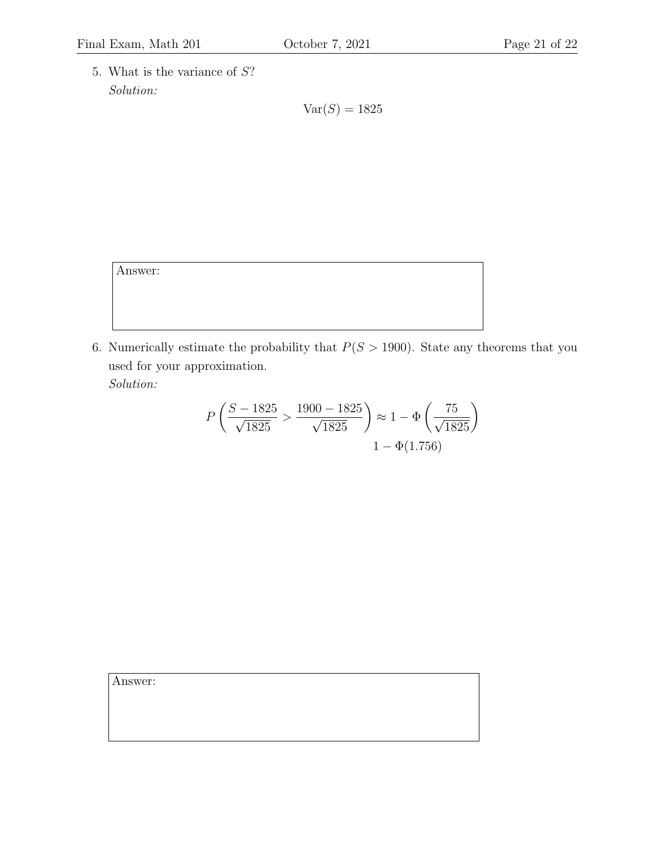5. What is the variance of S? Solution:

 $Var(S) = 1825$ 

Answer:

6. Numerically estimate the probability that  $P(S > 1900)$ . State any theorems that you used for your approximation.

Solution:

$$
P\left(\frac{S - 1825}{\sqrt{1825}} > \frac{1900 - 1825}{\sqrt{1825}}\right) \approx 1 - \Phi\left(\frac{75}{\sqrt{1825}}\right)
$$

$$
1 - \Phi(1.756)
$$

| Answer: |  |  |  |
|---------|--|--|--|
|         |  |  |  |
|         |  |  |  |
|         |  |  |  |